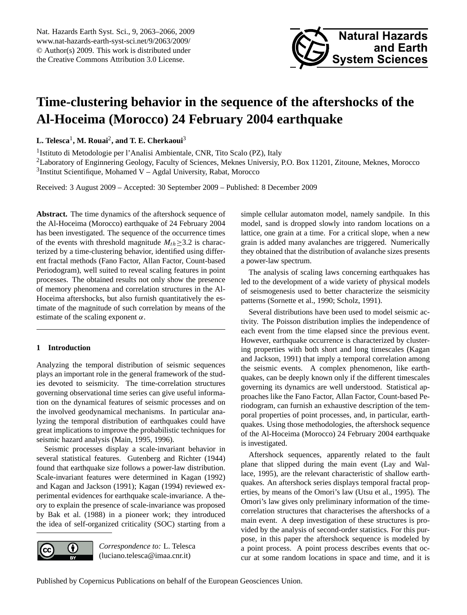<span id="page-0-0"></span>Nat. Hazards Earth Syst. Sci., 9, 2063–2066, 2009 www.nat-hazards-earth-syst-sci.net/9/2063/2009/ © Author(s) 2009. This work is distributed under the Creative Commons Attribution 3.0 License.



## **Time-clustering behavior in the sequence of the aftershocks of the Al-Hoceima (Morocco) 24 February 2004 earthquake**

**L. Telesca**<sup>1</sup> **, M. Rouai**<sup>2</sup> **, and T. E. Cherkaoui**<sup>3</sup>

<sup>1</sup> Istituto di Metodologie per l'Analisi Ambientale, CNR, Tito Scalo (PZ), Italy

<sup>2</sup>Laboratory of Enginnering Geology, Faculty of Sciences, Meknes Universiy, P.O. Box 11201, Zitoune, Meknes, Morocco  $3$ Institut Scientifique, Mohamed V - Agdal University, Rabat, Morocco

Received: 3 August 2009 – Accepted: 30 September 2009 – Published: 8 December 2009

**Abstract.** The time dynamics of the aftershock sequence of the Al-Hoceima (Morocco) earthquake of 24 February 2004 has been investigated. The sequence of the occurrence times of the events with threshold magnitude  $M_{th} \geq 3.2$  is characterized by a time-clustering behavior, identified using different fractal methods (Fano Factor, Allan Factor, Count-based Periodogram), well suited to reveal scaling features in point processes. The obtained results not only show the presence of memory phenomena and correlation structures in the Al-Hoceima aftershocks, but also furnish quantitatively the estimate of the magnitude of such correlation by means of the estimate of the scaling exponent  $\alpha$ .

### **1 Introduction**

Analyzing the temporal distribution of seismic sequences plays an important role in the general framework of the studies devoted to seismicity. The time-correlation structures governing observational time series can give useful information on the dynamical features of seismic processes and on the involved geodynamical mechanisms. In particular analyzing the temporal distribution of earthquakes could have great implications to improve the probabilistic techniques for seismic hazard analysis (Main, 1995, 1996).

Seismic processes display a scale-invariant behavior in several statistical features. Gutenberg and Richter (1944) found that earthquake size follows a power-law distribution. Scale-invariant features were determined in Kagan (1992) and Kagan and Jackson (1991); Kagan (1994) reviewed experimental evidences for earthquake scale-invariance. A theory to explain the presence of scale-invariance was proposed by Bak et al. (1988) in a pioneer work; they introduced the idea of self-organized criticality (SOC) starting from a

 $\left( \cdot \right)$ 

*Correspondence to:* L. Telesca (luciano.telesca@imaa.cnr.it)

simple cellular automaton model, namely sandpile. In this model, sand is dropped slowly into random locations on a lattice, one grain at a time. For a critical slope, when a new grain is added many avalanches are triggered. Numerically they obtained that the distribution of avalanche sizes presents a power-law spectrum.

The analysis of scaling laws concerning earthquakes has led to the development of a wide variety of physical models of seismogenesis used to better characterize the seismicity patterns (Sornette et al., 1990; Scholz, 1991).

Several distributions have been used to model seismic activity. The Poisson distribution implies the independence of each event from the time elapsed since the previous event. However, earthquake occurrence is characterized by clustering properties with both short and long timescales (Kagan and Jackson, 1991) that imply a temporal correlation among the seismic events. A complex phenomenon, like earthquakes, can be deeply known only if the different timescales governing its dynamics are well understood. Statistical approaches like the Fano Factor, Allan Factor, Count-based Periodogram, can furnish an exhaustive description of the temporal properties of point processes, and, in particular, earthquakes. Using those methodologies, the aftershock sequence of the Al-Hoceima (Morocco) 24 February 2004 earthquake is investigated.

Aftershock sequences, apparently related to the fault plane that slipped during the main event (Lay and Wallace, 1995), are the relevant characteristic of shallow earthquakes. An aftershock series displays temporal fractal properties, by means of the Omori's law (Utsu et al., 1995). The Omori's law gives only preliminary information of the timecorrelation structures that characterises the aftershocks of a main event. A deep investigation of these structures is provided by the analysis of second-order statistics. For this purpose, in this paper the aftershock sequence is modeled by a point process. A point process describes events that occur at some random locations in space and time, and it is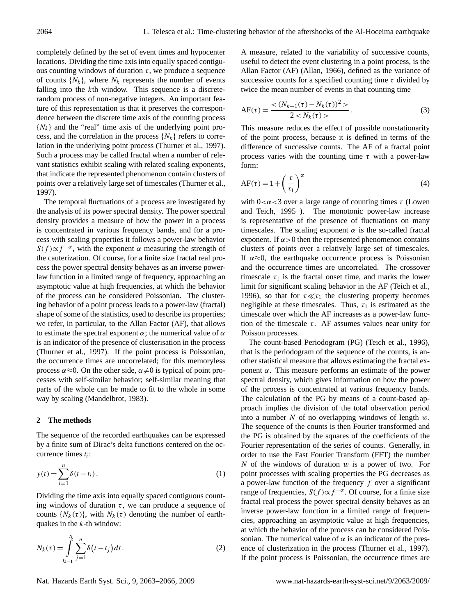completely defined by the set of event times and hypocenter locations. Dividing the time axis into equally spaced contiguous counting windows of duration  $\tau$ , we produce a sequence of counts  $\{N_k\}$ , where  $N_k$  represents the number of events falling into the kth window. This sequence is a discreterandom process of non-negative integers. An important feature of this representation is that it preserves the correspondence between the discrete time axis of the counting process  $\{N_k\}$  and the "real" time axis of the underlying point process, and the correlation in the process  $\{N_k\}$  refers to correlation in the underlying point process (Thurner et al., 1997). Such a process may be called fractal when a number of relevant statistics exhibit scaling with related scaling exponents, that indicate the represented phenomenon contain clusters of points over a relatively large set of timescales (Thurner et al., 1997).

The temporal fluctuations of a process are investigated by the analysis of its power spectral density. The power spectral density provides a measure of how the power in a process is concentrated in various frequency bands, and for a process with scaling properties it follows a power-law behavior  $S(f) \propto f^{-\alpha}$ , with the exponent  $\alpha$  measuring the strength of the cauterization. Of course, for a finite size fractal real process the power spectral density behaves as an inverse powerlaw function in a limited range of frequency, approaching an asymptotic value at high frequencies, at which the behavior of the process can be considered Poissonian. The clustering behavior of a point process leads to a power-law (fractal) shape of some of the statistics, used to describe its properties; we refer, in particular, to the Allan Factor (AF), that allows to estimate the spectral exponent  $\alpha$ ; the numerical value of  $\alpha$ is an indicator of the presence of clusterisation in the process (Thurner et al., 1997). If the point process is Poissonian, the occurrence times are uncorrelated; for this memoryless process  $\alpha \approx 0$ . On the other side,  $\alpha \neq 0$  is typical of point processes with self-similar behavior; self-similar meaning that parts of the whole can be made to fit to the whole in some way by scaling (Mandelbrot, 1983).

#### **2 The methods**

The sequence of the recorded earthquakes can be expressed by a finite sum of Dirac's delta functions centered on the occurrence times  $t_i$ :

$$
y(t) = \sum_{i=1}^{n} \delta(t - t_i).
$$
 (1)

Dividing the time axis into equally spaced contiguous counting windows of duration  $\tau$ , we can produce a sequence of counts  $\{N_k(\tau)\}\$ , with  $N_k(\tau)$  denoting the number of earthquakes in the  $k$ -th window:

$$
N_k(\tau) = \int_{t_{k-1}}^{t_k} \sum_{j=1}^n \delta(t - t_j) dt.
$$
 (2)

Nat. Hazards Earth Syst. Sci., 9, 2063[–2066,](#page-0-0) 2009 www.nat-hazards-earth-syst-sci.net/9/2063/2009/

A measure, related to the variability of successive counts, useful to detect the event clustering in a point process, is the Allan Factor (AF) (Allan, 1966), defined as the variance of successive counts for a specified counting time  $\tau$  divided by twice the mean number of events in that counting time

$$
AF(\tau) = \frac{<(N_{k+1}(\tau) - N_k(\tau))^2>}{2 < N_k(\tau)>}.
$$
 (3)

This measure reduces the effect of possible nonstationarity of the point process, because it is defined in terms of the difference of successive counts. The AF of a fractal point process varies with the counting time  $\tau$  with a power-law form:

$$
AF(\tau) = 1 + \left(\frac{\tau}{\tau_1}\right)^{\alpha} \tag{4}
$$

with  $0 < \alpha < 3$  over a large range of counting times  $\tau$  (Lowen and Teich, 1995 ). The monotonic power-law increase is representative of the presence of fluctuations on many timescales. The scaling exponent  $\alpha$  is the so-called fractal exponent. If  $\alpha > 0$  then the represented phenomenon contains clusters of points over a relatively large set of timescales. If  $\alpha \approx 0$ , the earthquake occurrence process is Poissonian and the occurrence times are uncorrelated. The crossover timescale  $\tau_1$  is the fractal onset time, and marks the lower limit for significant scaling behavior in the AF (Teich et al., 1996), so that for  $\tau \ll \tau_1$  the clustering property becomes negligible at these timescales. Thus,  $\tau_1$  is estimated as the timescale over which the AF increases as a power-law function of the timescale  $\tau$ . AF assumes values near unity for Poisson processes.

The count-based Periodogram (PG) (Teich et al., 1996), that is the periodogram of the sequence of the counts, is another statistical measure that allows estimating the fractal exponent  $α$ . This measure performs an estimate of the power spectral density, which gives information on how the power of the process is concentrated at various frequency bands. The calculation of the PG by means of a count-based approach implies the division of the total observation period into a number  $N$  of no overlapping windows of length  $w$ . The sequence of the counts is then Fourier transformed and the PG is obtained by the squares of the coefficients of the Fourier representation of the series of counts. Generally, in order to use the Fast Fourier Transform (FFT) the number N of the windows of duration  $w$  is a power of two. For point processes with scaling properties the PG decreases as a power-law function of the frequency  $f$  over a significant range of frequencies,  $S(f) \propto f^{-\alpha}$ . Of course, for a finite size fractal real process the power spectral density behaves as an inverse power-law function in a limited range of frequencies, approaching an asymptotic value at high frequencies, at which the behavior of the process can be considered Poissonian. The numerical value of  $\alpha$  is an indicator of the presence of clusterization in the process (Thurner et al., 1997). If the point process is Poissonian, the occurrence times are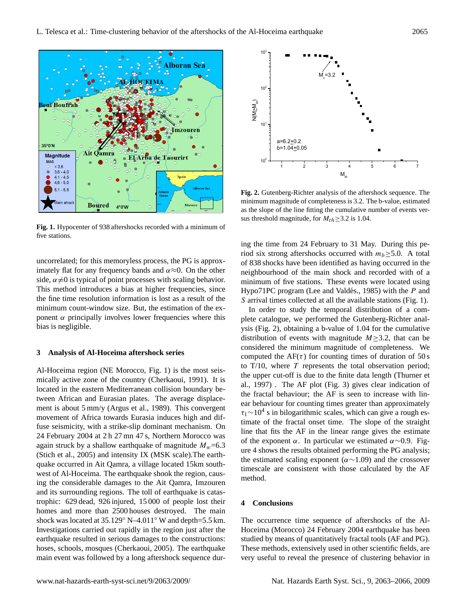

Fig. 1. Hypocenter of 938 aftershocks recorded with a minimum of five stations.

ponent  $\alpha$  principally involves lower frequencies where this This method introduces a bias at higher frequencies, since minimum count-window size. But, the estimation of the exuncorrelated; for this memoryless process, the PG is approximately flat for any frequency bands and  $\alpha \approx 0$ . On the other side,  $\alpha \neq 0$  is typical of point processes with scaling behavior. the fine time resolution information is lost as a result of the bias is negligible.

# 101 N(M> **3 Analysis of Al-Hoceima aftershock series**

.<br>المراجع المراجع المراجع المراجع المراجع المراجع المراجع المراجع المراجع المراجع المراجع المراجع المراجع المراج<br>المراجع المراجع المراجع المراجع المراجع المراجع المراجع المراجع المراجع المراجع المراجع المراجع المراجع المر located in the eastern Mediterranean collision boundary be-Al-Hoceima region (NE Morocco, Fig. 1) is the most seismically active zone of the country (Cherkaoui, 1991). It is tween African and Eurasian plates. The average displacefuse seismicity, with a strike-slip dominant mechanism. On ment is about 5 mm/y (Argus et al., 1989). This convergent movement of Africa towards Eurasia induces high and dif-24 February 2004 at 2 h 27 mn 47 s, Northern Morocco was again struck by a shallow earthquake of magnitude  $M_w=6.3$ (Stich et al., 2005) and intensity IX (MSK scale).The earthquake occurred in Ait Qamra, a village located 15km southwest of Al-Hoceima. The earthquake shook the region, causing the considerable damages to the Ait Qamra, Imzouren and its surrounding regions. The toll of earthquake is catastrophic: 629 dead, 926 injured, 15 000 of people lost their homes and more than 2500 houses destroyed. The main shock was located at 35.129◦ N–4.011◦ W and depth=5.5 km. Investigations carried out rapidly in the region just after the earthquake resulted in serious damages to the constructions: hoses, schools, mosques (Cherkaoui, 2005). The earthquake main event was followed by a long aftershock sequence dur-



minimum magnitude of completeness is 3.2. The b-value, estimated **Fig. 2.** Gutenberg-Richter analysis of the aftershock sequence. The as the slope of the line fitting the cumulative number of events versus threshold magnitude, for  $M_{th} \geq 3.2$  is 1.04.

ing the time from 24 February to 31 May. During this period six strong aftershocks occurred with  $m_b > 5.0$ . A total of 838 shocks have been identified as having occurred in the neighbourhood of the main shock and recorded with of a minimum of five stations. These events were located using Hypo $71PC$  program (Lee and Valdés., 1985) with the  $P$  and S arrival times collected at all the available stations (Fig. 1).

In order to study the temporal distribution of a complete catalogue, we performed the Gutenberg-Richter analysis (Fig. 2), obtaining a b-value of 1.04 for the cumulative distribution of events with magnitude  $M \geq 3.2$ , that can be considered the minimum magnitude of completeness. We computed the  $AF(\tau)$  for counting times of duration of 50 s to  $T/10$ , where  $T$  represents the total observation period; the upper cut-off is due to the finite data length (Thurner et al., 1997) . The AF plot (Fig. 3) gives clear indication of the fractal behaviour; the AF is seen to increase with linear behaviour for counting times greater than approximately  $\tau_1 \sim 10^4$  s in bilogarithmic scales, which can give a rough estimate of the fractal onset time. The slope of the straight line that fits the AF in the linear range gives the estimate of the exponent  $\alpha$ . In particular we estimated  $\alpha \sim 0.9$ . Figure 4 shows the results obtained performing the PG analysis; the estimated scaling exponent ( $\alpha$ ~1.09) and the crossover timescale are consistent with those calculated by the AF method.

### **4 Conclusions**

The occurrence time sequence of aftershocks of the Al-Hoceima (Morocco) 24 February 2004 earthquake has been studied by means of quantitatively fractal tools (AF and PG). These methods, extensively used in other scientific fields, are very useful to reveal the presence of clustering behavior in